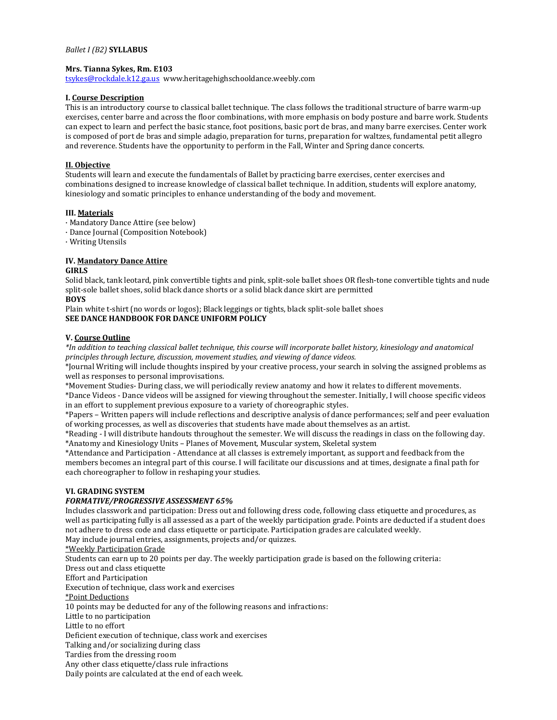#### *Ballet I (B2)* **SYLLABUS**

#### **Mrs. Tianna Sykes, Rm. E103**

[tsykes@rockdale.k12.ga.us](mailto:tsykes@rockdale.k12.ga.us) www.heritagehighschooldance.weebly.com

#### **I. Course Description**

This is an introductory course to classical ballet technique. The class follows the traditional structure of barre warm-up exercises, center barre and across the floor combinations, with more emphasis on body posture and barre work. Students can expect to learn and perfect the basic stance, foot positions, basic port de bras, and many barre exercises. Center work is composed of port de bras and simple adagio, preparation for turns, preparation for waltzes, fundamental petit allegro and reverence. Students have the opportunity to perform in the Fall, Winter and Spring dance concerts.

#### **II. Objective**

Students will learn and execute the fundamentals of Ballet by practicing barre exercises, center exercises and combinations designed to increase knowledge of classical ballet technique. In addition, students will explore anatomy, kinesiology and somatic principles to enhance understanding of the body and movement.

#### **III. Materials**

- · Mandatory Dance Attire (see below)
- · Dance Journal (Composition Notebook)
- · Writing Utensils

# **IV. Mandatory Dance Attire**

#### **GIRLS**

Solid black, tank leotard, pink convertible tights and pink, split-sole ballet shoes OR flesh-tone convertible tights and nude split-sole ballet shoes, solid black dance shorts or a solid black dance skirt are permitted **BOYS**

Plain white t-shirt (no words or logos); Black leggings or tights, black split-sole ballet shoes **SEE DANCE HANDBOOK FOR DANCE UNIFORM POLICY**

#### **V. Course Outline**

*\*In addition to teaching classical ballet technique, this course will incorporate ballet history, kinesiology and anatomical principles through lecture, discussion, movement studies, and viewing of dance videos.*

\*Journal Writing will include thoughts inspired by your creative process, your search in solving the assigned problems as well as responses to personal improvisations.

\*Movement Studies- During class, we will periodically review anatomy and how it relates to different movements.

\*Dance Videos - Dance videos will be assigned for viewing throughout the semester. Initially, I will choose specific videos in an effort to supplement previous exposure to a variety of choreographic styles.

\*Papers – Written papers will include reflections and descriptive analysis of dance performances; self and peer evaluation of working processes, as well as discoveries that students have made about themselves as an artist.

\*Reading - I will distribute handouts throughout the semester. We will discuss the readings in class on the following day. \*Anatomy and Kinesiology Units – Planes of Movement, Muscular system, Skeletal system

\*Attendance and Participation - Attendance at all classes is extremely important, as support and feedback from the members becomes an integral part of this course. I will facilitate our discussions and at times, designate a final path for each choreographer to follow in reshaping your studies.

#### **VI. GRADING SYSTEM**

### *FORMATIVE/PROGRESSIVE ASSESSMENT 65%*

Includes classwork and participation: Dress out and following dress code, following class etiquette and procedures, as well as participating fully is all assessed as a part of the weekly participation grade. Points are deducted if a student does not adhere to dress code and class etiquette or participate. Participation grades are calculated weekly.

May include journal entries, assignments, projects and/or quizzes.

\*Weekly Participation Grade

Students can earn up to 20 points per day. The weekly participation grade is based on the following criteria: Dress out and class etiquette Effort and Participation Execution of technique, class work and exercises \*Point Deductions 10 points may be deducted for any of the following reasons and infractions: Little to no participation Little to no effort Deficient execution of technique, class work and exercises Talking and/or socializing during class Tardies from the dressing room

Any other class etiquette/class rule infractions

Daily points are calculated at the end of each week.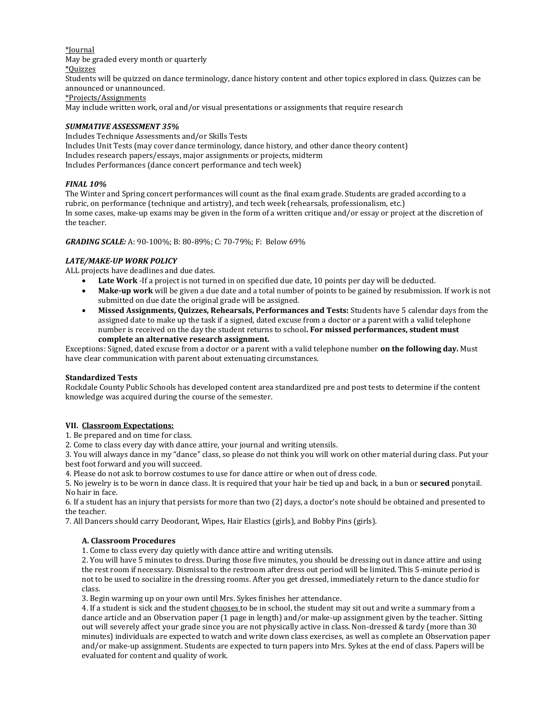\*Journal May be graded every month or quarterly \*Quizzes Students will be quizzed on dance terminology, dance history content and other topics explored in class. Quizzes can be announced or unannounced. \*Projects/Assignments May include written work, oral and/or visual presentations or assignments that require research

# *SUMMATIVE ASSESSMENT 35%*

Includes Technique Assessments and/or Skills Tests Includes Unit Tests (may cover dance terminology, dance history, and other dance theory content) Includes research papers/essays, major assignments or projects, midterm Includes Performances (dance concert performance and tech week)

# *FINAL 10%*

The Winter and Spring concert performances will count as the final exam grade. Students are graded according to a rubric, on performance (technique and artistry), and tech week (rehearsals, professionalism, etc.) In some cases, make-up exams may be given in the form of a written critique and/or essay or project at the discretion of the teacher.

*GRADING SCALE:* A: 90-100%; B: 80-89%; C: 70-79%; F: Below 69%

# *LATE/MAKE-UP WORK POLICY*

ALL projects have deadlines and due dates.

- Late Work -If a project is not turned in on specified due date, 10 points per day will be deducted.
- **Make-up work** will be given a due date and a total number of points to be gained by resubmission. If work is not submitted on due date the original grade will be assigned.
- **Missed Assignments, Quizzes, Rehearsals, Performances and Tests:** Students have 5 calendar days from the assigned date to make up the task if a signed, dated excuse from a doctor or a parent with a valid telephone number is received on the day the student returns to school**. For missed performances, student must complete an alternative research assignment.**

Exceptions: Signed, dated excuse from a doctor or a parent with a valid telephone number **on the following day.** Must have clear communication with parent about extenuating circumstances.

### **Standardized Tests**

Rockdale County Public Schools has developed content area standardized pre and post tests to determine if the content knowledge was acquired during the course of the semester.

### **VII. Classroom Expectations:**

1. Be prepared and on time for class.

2. Come to class every day with dance attire, your journal and writing utensils.

3. You will always dance in my "dance" class, so please do not think you will work on other material during class. Put your best foot forward and you will succeed.

4. Please do not ask to borrow costumes to use for dance attire or when out of dress code.

5. No jewelry is to be worn in dance class. It is required that your hair be tied up and back, in a bun or **secured** ponytail. No hair in face.

6. If a student has an injury that persists for more than two (2) days, a doctor's note should be obtained and presented to the teacher.

7. All Dancers should carry Deodorant, Wipes, Hair Elastics (girls), and Bobby Pins (girls).

### **A. Classroom Procedures**

1. Come to class every day quietly with dance attire and writing utensils.

2. You will have 5 minutes to dress. During those five minutes, you should be dressing out in dance attire and using the rest room if necessary. Dismissal to the restroom after dress out period will be limited. This 5-minute period is not to be used to socialize in the dressing rooms. After you get dressed, immediately return to the dance studio for class.

3. Begin warming up on your own until Mrs. Sykes finishes her attendance.

4. If a student is sick and the student chooses to be in school, the student may sit out and write a summary from a dance article and an Observation paper (1 page in length) and/or make-up assignment given by the teacher. Sitting out will severely affect your grade since you are not physically active in class. Non-dressed & tardy (more than 30 minutes) individuals are expected to watch and write down class exercises, as well as complete an Observation paper and/or make-up assignment. Students are expected to turn papers into Mrs. Sykes at the end of class. Papers will be evaluated for content and quality of work.